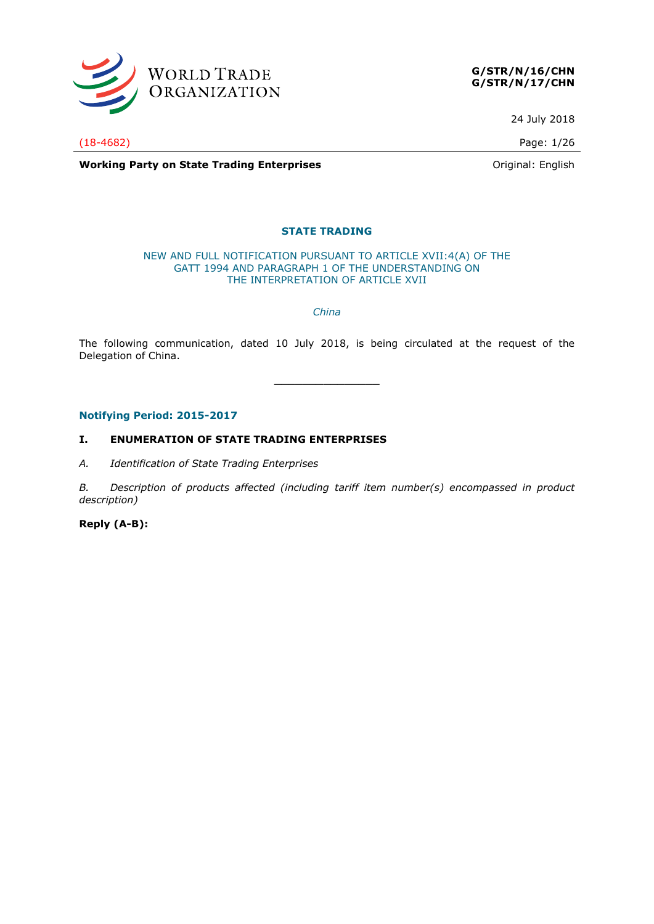

**G/STR/N/16/CHN G/STR/N/17/CHN**

24 July 2018

(18-4682) Page: 1/26

**Working Party on State Trading Enterprises Constanting Party on State Trading Enterprises Constanting Party on State Trading Enterprises** 

#### **STATE TRADING**

#### NEW AND FULL NOTIFICATION PURSUANT TO ARTICLE XVII:4(A) OF THE GATT 1994 AND PARAGRAPH 1 OF THE UNDERSTANDING ON THE INTERPRETATION OF ARTICLE XVII

*China*

The following communication, dated 10 July 2018, is being circulated at the request of the Delegation of China.

**\_\_\_\_\_\_\_\_\_\_\_\_\_\_\_**

#### **Notifying Period: 2015-2017**

#### **I. ENUMERATION OF STATE TRADING ENTERPRISES**

*A. Identification of State Trading Enterprises*

*B. Description of products affected (including tariff item number(s) encompassed in product description)*

**Reply (A-B):**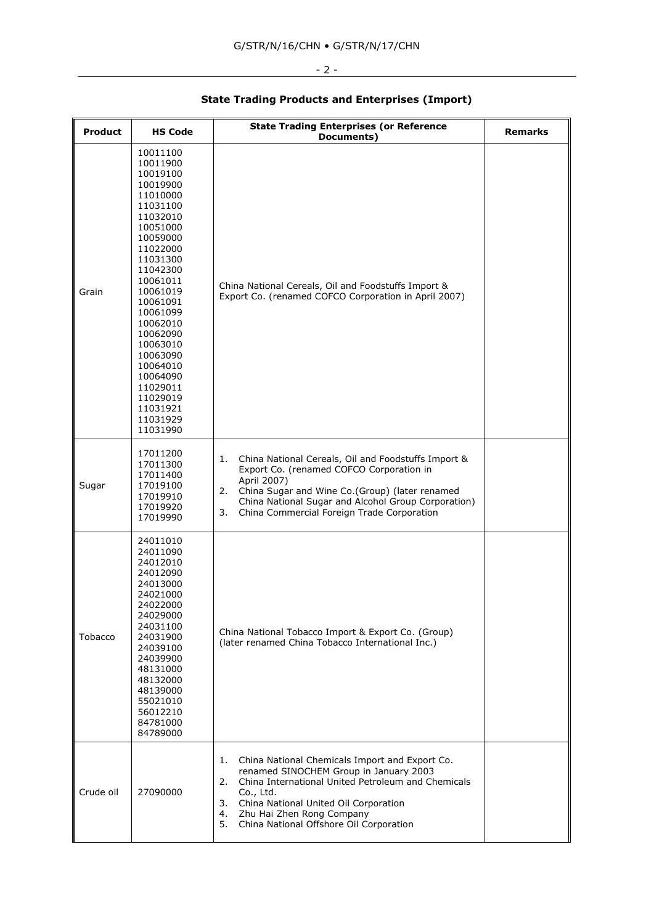#### $-2 -$

#### **Product HS Code State Trading Enterprises (or Reference Documents) Remarks** Grain China National Cereals, Oil and Foodstuffs Import & Export Co. (renamed COFCO Corporation in April 2007) Sugar 1. China National Cereals, Oil and Foodstuffs Import & Export Co. (renamed COFCO Corporation in April 2007) 2. China Sugar and Wine Co.(Group) (later renamed China National Sugar and Alcohol Group Corporation) 3. China Commercial Foreign Trade Corporation Tobacco China National Tobacco Import & Export Co. (Group) (later renamed China Tobacco International Inc.)

1. China National Chemicals Import and Export Co. renamed SINOCHEM Group in January 2003 2. China International United Petroleum and Chemicals

3. China National United Oil Corporation 4. Zhu Hai Zhen Rong Company

5. China National Offshore Oil Corporation

Co., Ltd.

 

Crude oil 27090000

#### **State Trading Products and Enterprises (Import)**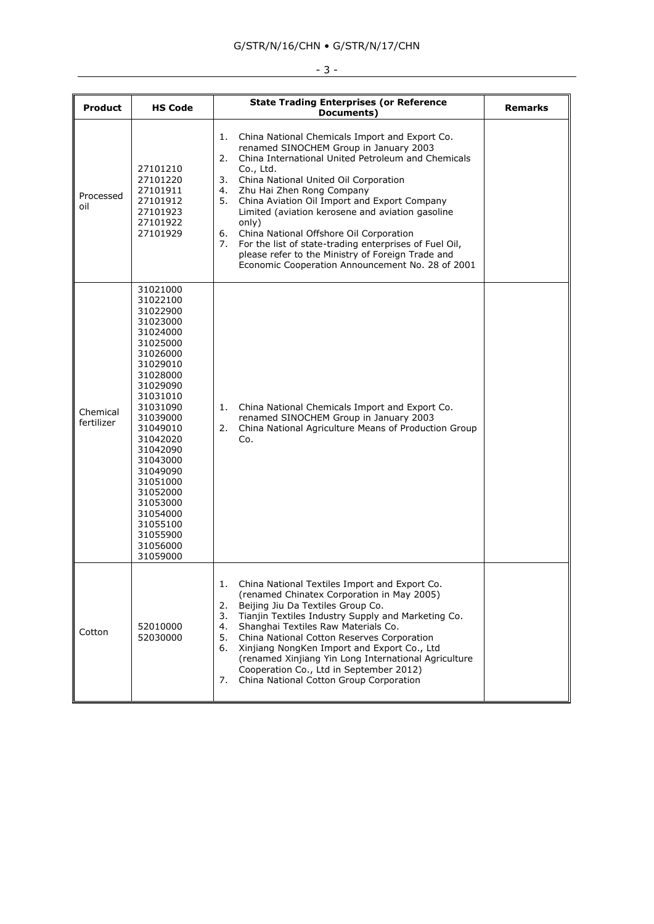## $-3 -$

| <b>Product</b>         | <b>HS Code</b>                                                                                                                                                                                                                                                                                                       | <b>State Trading Enterprises (or Reference</b><br>Documents)                                                                                                                                                                                                                                                                                                                                                                                                                                                                                                                                        | <b>Remarks</b> |
|------------------------|----------------------------------------------------------------------------------------------------------------------------------------------------------------------------------------------------------------------------------------------------------------------------------------------------------------------|-----------------------------------------------------------------------------------------------------------------------------------------------------------------------------------------------------------------------------------------------------------------------------------------------------------------------------------------------------------------------------------------------------------------------------------------------------------------------------------------------------------------------------------------------------------------------------------------------------|----------------|
| Processed<br>oil       | 27101210<br>27101220<br>27101911<br>27101912<br>27101923<br>27101922<br>27101929                                                                                                                                                                                                                                     | 1.<br>China National Chemicals Import and Export Co.<br>renamed SINOCHEM Group in January 2003<br>2.<br>China International United Petroleum and Chemicals<br>Co., Ltd.<br>3. China National United Oil Corporation<br>Zhu Hai Zhen Rong Company<br>4.<br>China Aviation Oil Import and Export Company<br>5.<br>Limited (aviation kerosene and aviation gasoline<br>only)<br>6.<br>China National Offshore Oil Corporation<br>For the list of state-trading enterprises of Fuel Oil,<br>7.<br>please refer to the Ministry of Foreign Trade and<br>Economic Cooperation Announcement No. 28 of 2001 |                |
| Chemical<br>fertilizer | 31021000<br>31022100<br>31022900<br>31023000<br>31024000<br>31025000<br>31026000<br>31029010<br>31028000<br>31029090<br>31031010<br>31031090<br>31039000<br>31049010<br>31042020<br>31042090<br>31043000<br>31049090<br>31051000<br>31052000<br>31053000<br>31054000<br>31055100<br>31055900<br>31056000<br>31059000 | China National Chemicals Import and Export Co.<br>1.<br>renamed SINOCHEM Group in January 2003<br>China National Agriculture Means of Production Group<br>2.<br>Co.                                                                                                                                                                                                                                                                                                                                                                                                                                 |                |
| Cotton                 | 52010000<br>52030000                                                                                                                                                                                                                                                                                                 | ı.<br>China National Textiles Import and Export Co.<br>(renamed Chinatex Corporation in May 2005)<br>2.<br>Beijing Jiu Da Textiles Group Co.<br>3.<br>Tianjin Textiles Industry Supply and Marketing Co.<br>4.<br>Shanghai Textiles Raw Materials Co.<br>5.<br>China National Cotton Reserves Corporation<br>Xinjiang NongKen Import and Export Co., Ltd<br>6.<br>(renamed Xinjiang Yin Long International Agriculture<br>Cooperation Co., Ltd in September 2012)<br>China National Cotton Group Corporation<br>7.                                                                                  |                |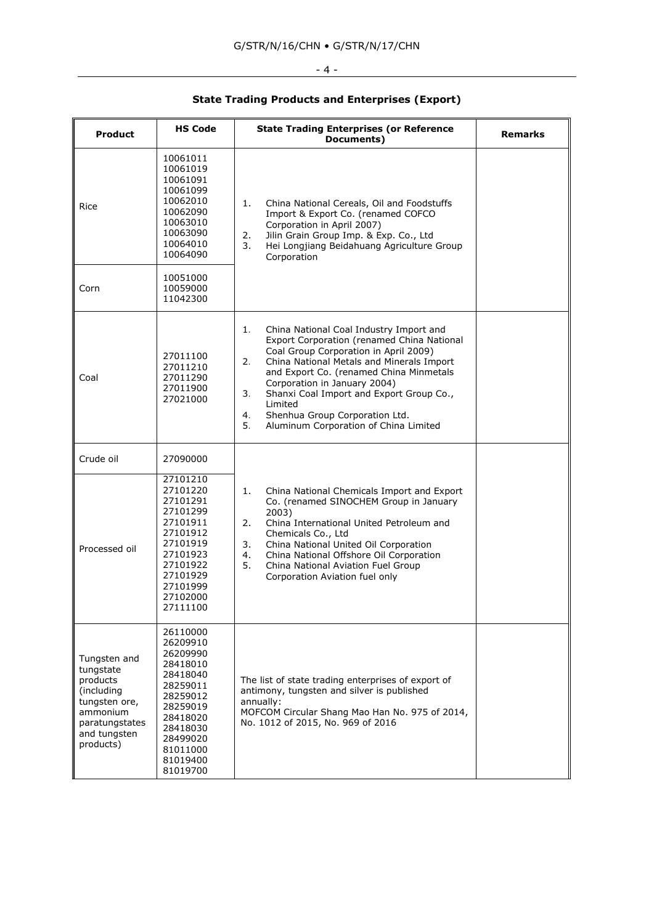# $-4 -$

## **State Trading Products and Enterprises (Export)**

| <b>Product</b>                                                                                                                  | <b>HS Code</b>                                                                                                                                                       | <b>State Trading Enterprises (or Reference</b><br>Documents)                                                                                                                                                                                                                                                                                                                                                           | <b>Remarks</b> |
|---------------------------------------------------------------------------------------------------------------------------------|----------------------------------------------------------------------------------------------------------------------------------------------------------------------|------------------------------------------------------------------------------------------------------------------------------------------------------------------------------------------------------------------------------------------------------------------------------------------------------------------------------------------------------------------------------------------------------------------------|----------------|
| Rice                                                                                                                            | 10061011<br>10061019<br>10061091<br>10061099<br>10062010<br>10062090<br>10063010<br>10063090<br>10064010<br>10064090                                                 | 1.<br>China National Cereals, Oil and Foodstuffs<br>Import & Export Co. (renamed COFCO<br>Corporation in April 2007)<br>Jilin Grain Group Imp. & Exp. Co., Ltd<br>2.<br>3.<br>Hei Longjiang Beidahuang Agriculture Group<br>Corporation                                                                                                                                                                                |                |
| Corn                                                                                                                            | 10051000<br>10059000<br>11042300                                                                                                                                     |                                                                                                                                                                                                                                                                                                                                                                                                                        |                |
| Coal                                                                                                                            | 27011100<br>27011210<br>27011290<br>27011900<br>27021000                                                                                                             | 1.<br>China National Coal Industry Import and<br>Export Corporation (renamed China National<br>Coal Group Corporation in April 2009)<br>2.<br>China National Metals and Minerals Import<br>and Export Co. (renamed China Minmetals<br>Corporation in January 2004)<br>3.<br>Shanxi Coal Import and Export Group Co.,<br>Limited<br>4.<br>Shenhua Group Corporation Ltd.<br>5.<br>Aluminum Corporation of China Limited |                |
| Crude oil                                                                                                                       | 27090000                                                                                                                                                             |                                                                                                                                                                                                                                                                                                                                                                                                                        |                |
| Processed oil                                                                                                                   | 27101210<br>27101220<br>27101291<br>27101299<br>27101911<br>27101912<br>27101919<br>27101923<br>27101922<br>27101929<br>27101999<br>27102000<br>27111100             | 1.<br>China National Chemicals Import and Export<br>Co. (renamed SINOCHEM Group in January<br>2003)<br>2.<br>China International United Petroleum and<br>Chemicals Co., Ltd<br>3.<br>China National United Oil Corporation<br>China National Offshore Oil Corporation<br>4.<br>5.<br>China National Aviation Fuel Group<br>Corporation Aviation fuel only                                                              |                |
| Tungsten and<br>tungstate<br>products<br>(including<br>tungsten ore,<br>ammonium<br>paratungstates<br>and tungsten<br>products) | 26110000<br>26209910<br>26209990<br>28418010<br>28418040<br>28259011<br>28259012<br>28259019<br>28418020<br>28418030<br>28499020<br>81011000<br>81019400<br>81019700 | The list of state trading enterprises of export of<br>antimony, tungsten and silver is published<br>annually:<br>MOFCOM Circular Shang Mao Han No. 975 of 2014,<br>No. 1012 of 2015, No. 969 of 2016                                                                                                                                                                                                                   |                |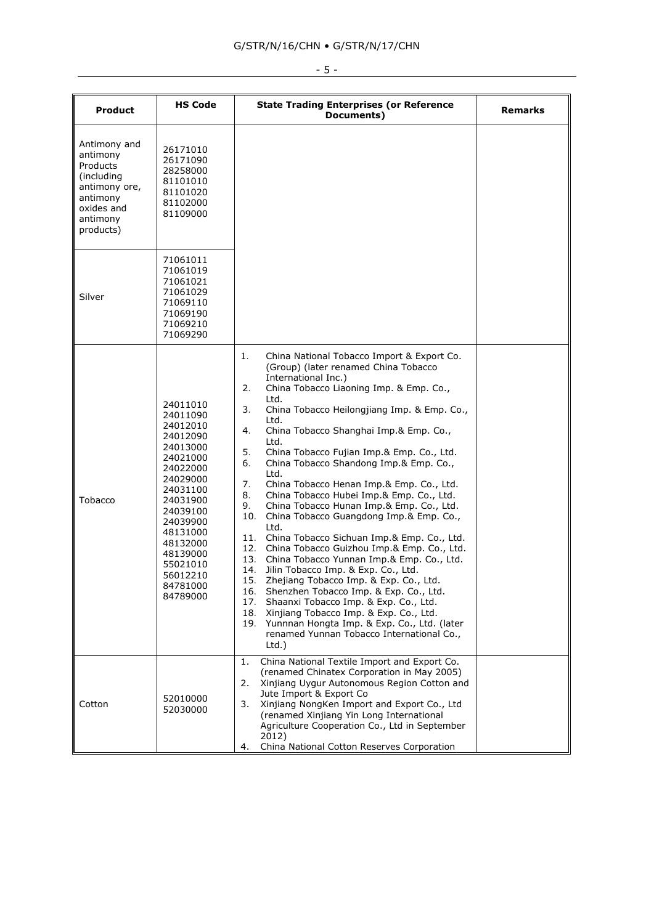| <b>Product</b>                                                                                                         | <b>HS Code</b>                                                                                                                                                                                                                   | <b>State Trading Enterprises (or Reference</b><br>Documents)                                                                                                                                                                                                                                                                                                                                                                                                                                                                                                                                                                                                                                                                                                                                                                                                                                                                                                                                                                                                                                                                         | <b>Remarks</b> |
|------------------------------------------------------------------------------------------------------------------------|----------------------------------------------------------------------------------------------------------------------------------------------------------------------------------------------------------------------------------|--------------------------------------------------------------------------------------------------------------------------------------------------------------------------------------------------------------------------------------------------------------------------------------------------------------------------------------------------------------------------------------------------------------------------------------------------------------------------------------------------------------------------------------------------------------------------------------------------------------------------------------------------------------------------------------------------------------------------------------------------------------------------------------------------------------------------------------------------------------------------------------------------------------------------------------------------------------------------------------------------------------------------------------------------------------------------------------------------------------------------------------|----------------|
| Antimony and<br>antimony<br>Products<br>(including<br>antimony ore,<br>antimony<br>oxides and<br>antimony<br>products) | 26171010<br>26171090<br>28258000<br>81101010<br>81101020<br>81102000<br>81109000                                                                                                                                                 |                                                                                                                                                                                                                                                                                                                                                                                                                                                                                                                                                                                                                                                                                                                                                                                                                                                                                                                                                                                                                                                                                                                                      |                |
| Silver                                                                                                                 | 71061011<br>71061019<br>71061021<br>71061029<br>71069110<br>71069190<br>71069210<br>71069290                                                                                                                                     |                                                                                                                                                                                                                                                                                                                                                                                                                                                                                                                                                                                                                                                                                                                                                                                                                                                                                                                                                                                                                                                                                                                                      |                |
| Tobacco                                                                                                                | 24011010<br>24011090<br>24012010<br>24012090<br>24013000<br>24021000<br>24022000<br>24029000<br>24031100<br>24031900<br>24039100<br>24039900<br>48131000<br>48132000<br>48139000<br>55021010<br>56012210<br>84781000<br>84789000 | 1.<br>China National Tobacco Import & Export Co.<br>(Group) (later renamed China Tobacco<br>International Inc.)<br>2.<br>China Tobacco Liaoning Imp. & Emp. Co.,<br>Ltd.<br>3.<br>China Tobacco Heilongjiang Imp. & Emp. Co.,<br>Ltd.<br>China Tobacco Shanghai Imp.& Emp. Co.,<br>4.<br>Ltd.<br>5.<br>China Tobacco Fujian Imp.& Emp. Co., Ltd.<br>China Tobacco Shandong Imp.& Emp. Co.,<br>6.<br>Ltd.<br>7.<br>China Tobacco Henan Imp.& Emp. Co., Ltd.<br>8.<br>China Tobacco Hubei Imp.& Emp. Co., Ltd.<br>China Tobacco Hunan Imp.& Emp. Co., Ltd.<br>9.<br>China Tobacco Guangdong Imp.& Emp. Co.,<br>10.<br>Ltd.<br>11. China Tobacco Sichuan Imp.& Emp. Co., Ltd.<br>12. China Tobacco Guizhou Imp.& Emp. Co., Ltd.<br>13. China Tobacco Yunnan Imp.& Emp. Co., Ltd.<br>14.<br>Jilin Tobacco Imp. & Exp. Co., Ltd.<br>15. Zhejiang Tobacco Imp. & Exp. Co., Ltd.<br>16. Shenzhen Tobacco Imp. & Exp. Co., Ltd.<br>17.<br>Shaanxi Tobacco Imp. & Exp. Co., Ltd.<br>18. Xinjiang Tobacco Imp. & Exp. Co., Ltd.<br>19.<br>Yunnnan Hongta Imp. & Exp. Co., Ltd. (later<br>renamed Yunnan Tobacco International Co.,<br>$Ltd.$ ) |                |
| Cotton                                                                                                                 | 52010000<br>52030000                                                                                                                                                                                                             | China National Textile Import and Export Co.<br>1.<br>(renamed Chinatex Corporation in May 2005)<br>Xinjiang Uygur Autonomous Region Cotton and<br>2.<br>Jute Import & Export Co<br>Xinjiang NongKen Import and Export Co., Ltd<br>3.<br>(renamed Xinjiang Yin Long International<br>Agriculture Cooperation Co., Ltd in September<br>2012)<br>China National Cotton Reserves Corporation<br>4.                                                                                                                                                                                                                                                                                                                                                                                                                                                                                                                                                                                                                                                                                                                                      |                |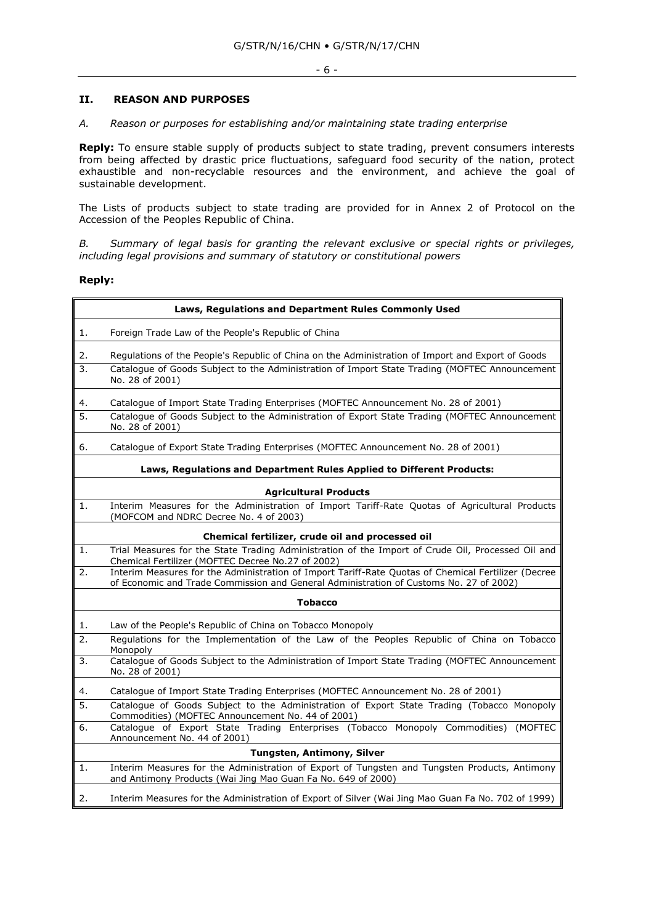#### **II. REASON AND PURPOSES**

*A. Reason or purposes for establishing and/or maintaining state trading enterprise*

**Reply:** To ensure stable supply of products subject to state trading, prevent consumers interests from being affected by drastic price fluctuations, safeguard food security of the nation, protect exhaustible and non-recyclable resources and the environment, and achieve the goal of sustainable development.

The Lists of products subject to state trading are provided for in Annex 2 of Protocol on the Accession of the Peoples Republic of China.

*B. Summary of legal basis for granting the relevant exclusive or special rights or privileges, including legal provisions and summary of statutory or constitutional powers*

#### **Reply:**

|          | Laws, Regulations and Department Rules Commonly Used                                                                                                                                               |  |  |  |  |  |  |  |  |
|----------|----------------------------------------------------------------------------------------------------------------------------------------------------------------------------------------------------|--|--|--|--|--|--|--|--|
| 1.       | Foreign Trade Law of the People's Republic of China                                                                                                                                                |  |  |  |  |  |  |  |  |
| 2.<br>3. | Regulations of the People's Republic of China on the Administration of Import and Export of Goods<br>Catalogue of Goods Subject to the Administration of Import State Trading (MOFTEC Announcement |  |  |  |  |  |  |  |  |
|          | No. 28 of 2001)                                                                                                                                                                                    |  |  |  |  |  |  |  |  |
| 4.       | Catalogue of Import State Trading Enterprises (MOFTEC Announcement No. 28 of 2001)                                                                                                                 |  |  |  |  |  |  |  |  |
| 5.       | Catalogue of Goods Subject to the Administration of Export State Trading (MOFTEC Announcement<br>No. 28 of 2001)                                                                                   |  |  |  |  |  |  |  |  |
| 6.       | Catalogue of Export State Trading Enterprises (MOFTEC Announcement No. 28 of 2001)                                                                                                                 |  |  |  |  |  |  |  |  |
|          | Laws, Regulations and Department Rules Applied to Different Products:                                                                                                                              |  |  |  |  |  |  |  |  |
|          | <b>Agricultural Products</b>                                                                                                                                                                       |  |  |  |  |  |  |  |  |
| 1.       | Interim Measures for the Administration of Import Tariff-Rate Quotas of Agricultural Products<br>(MOFCOM and NDRC Decree No. 4 of 2003)                                                            |  |  |  |  |  |  |  |  |
|          | Chemical fertilizer, crude oil and processed oil                                                                                                                                                   |  |  |  |  |  |  |  |  |
| 1.       | Trial Measures for the State Trading Administration of the Import of Crude Oil, Processed Oil and<br>Chemical Fertilizer (MOFTEC Decree No.27 of 2002)                                             |  |  |  |  |  |  |  |  |
| 2.       | Interim Measures for the Administration of Import Tariff-Rate Quotas of Chemical Fertilizer (Decree<br>of Economic and Trade Commission and General Administration of Customs No. 27 of 2002)      |  |  |  |  |  |  |  |  |
|          | <b>Tobacco</b>                                                                                                                                                                                     |  |  |  |  |  |  |  |  |
| 1.       | Law of the People's Republic of China on Tobacco Monopoly                                                                                                                                          |  |  |  |  |  |  |  |  |
| 2.       | Regulations for the Implementation of the Law of the Peoples Republic of China on Tobacco<br>Monopoly                                                                                              |  |  |  |  |  |  |  |  |
| 3.       | Catalogue of Goods Subject to the Administration of Import State Trading (MOFTEC Announcement<br>No. 28 of 2001)                                                                                   |  |  |  |  |  |  |  |  |
| 4.       | Catalogue of Import State Trading Enterprises (MOFTEC Announcement No. 28 of 2001)                                                                                                                 |  |  |  |  |  |  |  |  |
| 5.       | Catalogue of Goods Subject to the Administration of Export State Trading (Tobacco Monopoly<br>Commodities) (MOFTEC Announcement No. 44 of 2001)                                                    |  |  |  |  |  |  |  |  |
| 6.       | Catalogue of Export State Trading Enterprises (Tobacco Monopoly Commodities) (MOFTEC<br>Announcement No. 44 of 2001)                                                                               |  |  |  |  |  |  |  |  |
|          | Tungsten, Antimony, Silver                                                                                                                                                                         |  |  |  |  |  |  |  |  |
| 1.       | Interim Measures for the Administration of Export of Tungsten and Tungsten Products, Antimony<br>and Antimony Products (Wai Jing Mao Guan Fa No. 649 of 2000)                                      |  |  |  |  |  |  |  |  |
| 2.       | Interim Measures for the Administration of Export of Silver (Wai Jing Mao Guan Fa No. 702 of 1999)                                                                                                 |  |  |  |  |  |  |  |  |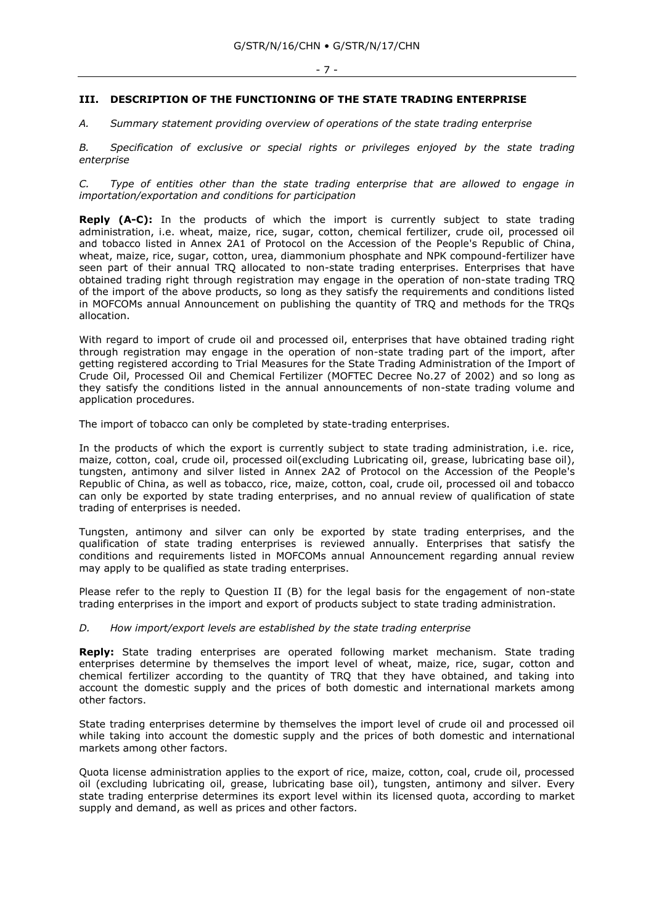#### **III. DESCRIPTION OF THE FUNCTIONING OF THE STATE TRADING ENTERPRISE**

*A. Summary statement providing overview of operations of the state trading enterprise*

*B. Specification of exclusive or special rights or privileges enjoyed by the state trading enterprise*

*C. Type of entities other than the state trading enterprise that are allowed to engage in importation/exportation and conditions for participation*

**Reply (A-C):** In the products of which the import is currently subject to state trading administration, i.e. wheat, maize, rice, sugar, cotton, chemical fertilizer, crude oil, processed oil and tobacco listed in Annex 2A1 of Protocol on the Accession of the People's Republic of China, wheat, maize, rice, sugar, cotton, urea, diammonium phosphate and NPK compound-fertilizer have seen part of their annual TRQ allocated to non-state trading enterprises. Enterprises that have obtained trading right through registration may engage in the operation of non-state trading TRQ of the import of the above products, so long as they satisfy the requirements and conditions listed in MOFCOMs annual Announcement on publishing the quantity of TRQ and methods for the TRQs allocation.

With regard to import of crude oil and processed oil, enterprises that have obtained trading right through registration may engage in the operation of non-state trading part of the import, after getting registered according to Trial Measures for the State Trading Administration of the Import of Crude Oil, Processed Oil and Chemical Fertilizer (MOFTEC Decree No.27 of 2002) and so long as they satisfy the conditions listed in the annual announcements of non-state trading volume and application procedures.

The import of tobacco can only be completed by state-trading enterprises.

In the products of which the export is currently subject to state trading administration, i.e. rice, maize, cotton, coal, crude oil, processed oil(excluding Lubricating oil, grease, lubricating base oil), tungsten, antimony and silver listed in Annex 2A2 of Protocol on the Accession of the People's Republic of China, as well as tobacco, rice, maize, cotton, coal, crude oil, processed oil and tobacco can only be exported by state trading enterprises, and no annual review of qualification of state trading of enterprises is needed.

Tungsten, antimony and silver can only be exported by state trading enterprises, and the qualification of state trading enterprises is reviewed annually. Enterprises that satisfy the conditions and requirements listed in MOFCOMs annual Announcement regarding annual review may apply to be qualified as state trading enterprises.

Please refer to the reply to Question II (B) for the legal basis for the engagement of non-state trading enterprises in the import and export of products subject to state trading administration.

#### *D. How import/export levels are established by the state trading enterprise*

**Reply:** State trading enterprises are operated following market mechanism. State trading enterprises determine by themselves the import level of wheat, maize, rice, sugar, cotton and chemical fertilizer according to the quantity of TRQ that they have obtained, and taking into account the domestic supply and the prices of both domestic and international markets among other factors.

State trading enterprises determine by themselves the import level of crude oil and processed oil while taking into account the domestic supply and the prices of both domestic and international markets among other factors.

Quota license administration applies to the export of rice, maize, cotton, coal, crude oil, processed oil (excluding lubricating oil, grease, lubricating base oil), tungsten, antimony and silver. Every state trading enterprise determines its export level within its licensed quota, according to market supply and demand, as well as prices and other factors.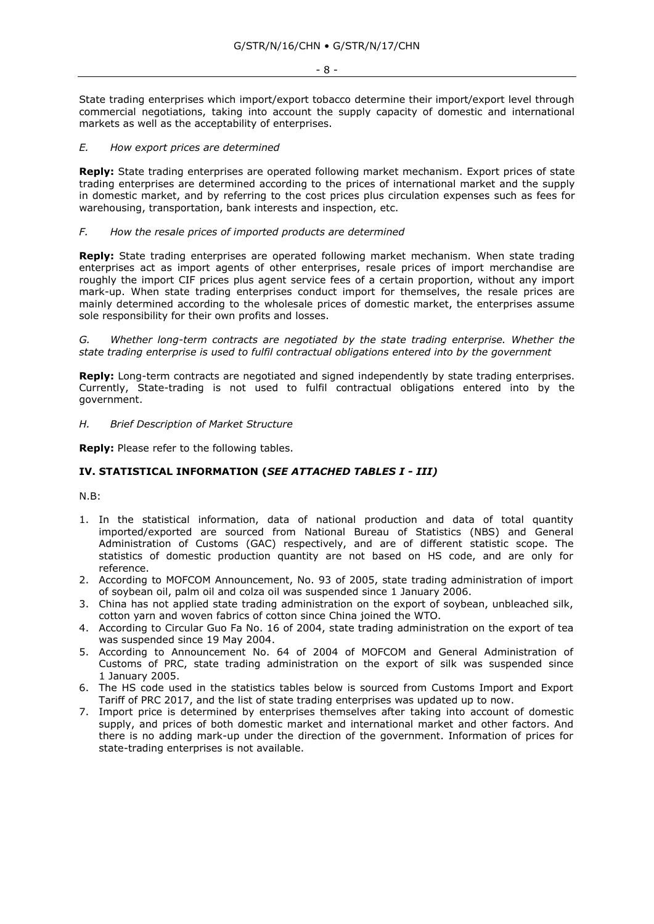- 8 -

State trading enterprises which import/export tobacco determine their import/export level through commercial negotiations, taking into account the supply capacity of domestic and international markets as well as the acceptability of enterprises.

#### *E. How export prices are determined*

**Reply:** State trading enterprises are operated following market mechanism. Export prices of state trading enterprises are determined according to the prices of international market and the supply in domestic market, and by referring to the cost prices plus circulation expenses such as fees for warehousing, transportation, bank interests and inspection, etc.

#### *F. How the resale prices of imported products are determined*

**Reply:** State trading enterprises are operated following market mechanism. When state trading enterprises act as import agents of other enterprises, resale prices of import merchandise are roughly the import CIF prices plus agent service fees of a certain proportion, without any import mark-up. When state trading enterprises conduct import for themselves, the resale prices are mainly determined according to the wholesale prices of domestic market, the enterprises assume sole responsibility for their own profits and losses.

*G. Whether long-term contracts are negotiated by the state trading enterprise. Whether the state trading enterprise is used to fulfil contractual obligations entered into by the government*

**Reply:** Long-term contracts are negotiated and signed independently by state trading enterprises. Currently, State-trading is not used to fulfil contractual obligations entered into by the government.

#### *H. Brief Description of Market Structure*

**Reply:** Please refer to the following tables.

#### **IV. STATISTICAL INFORMATION (***SEE ATTACHED TABLES I - III)*

N.B:

- 1. In the statistical information, data of national production and data of total quantity imported/exported are sourced from National Bureau of Statistics (NBS) and General Administration of Customs (GAC) respectively, and are of different statistic scope. The statistics of domestic production quantity are not based on HS code, and are only for reference.
- 2. According to MOFCOM Announcement, No. 93 of 2005, state trading administration of import of soybean oil, palm oil and colza oil was suspended since 1 January 2006.
- 3. China has not applied state trading administration on the export of soybean, unbleached silk, cotton yarn and woven fabrics of cotton since China joined the WTO.
- 4. According to Circular Guo Fa No. 16 of 2004, state trading administration on the export of tea was suspended since 19 May 2004.
- 5. According to Announcement No. 64 of 2004 of MOFCOM and General Administration of Customs of PRC, state trading administration on the export of silk was suspended since 1 January 2005.
- 6. The HS code used in the statistics tables below is sourced from Customs Import and Export Tariff of PRC 2017, and the list of state trading enterprises was updated up to now.
- 7. Import price is determined by enterprises themselves after taking into account of domestic supply, and prices of both domestic market and international market and other factors. And there is no adding mark-up under the direction of the government. Information of prices for state-trading enterprises is not available.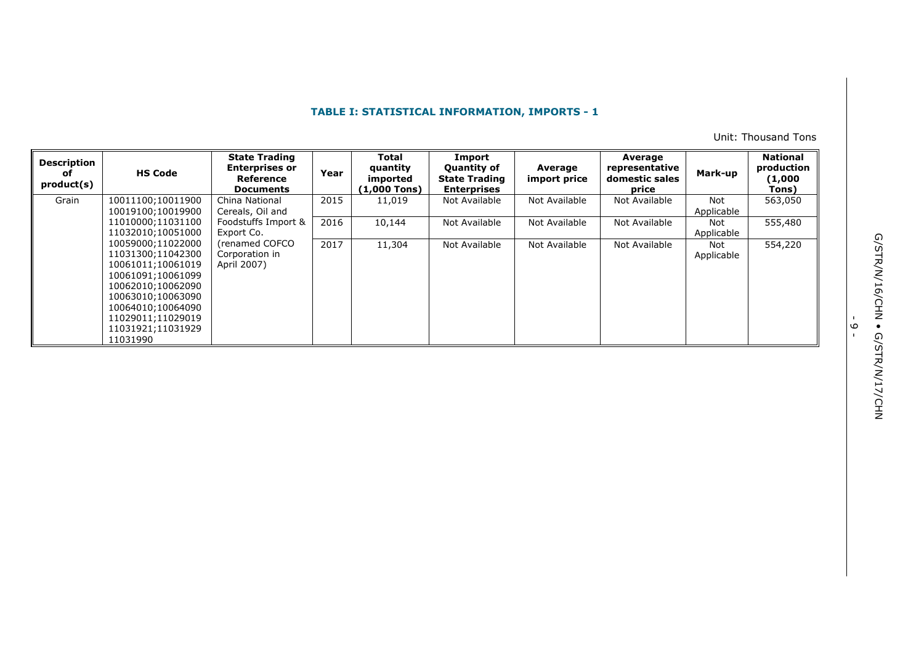Unit: Thousand Tons

| <b>Description</b><br>оf<br>product(s) | <b>HS Code</b>    | <b>State Trading</b><br><b>Enterprises or</b><br>Reference<br><b>Documents</b> | Year | <b>Total</b><br>quantity<br>imported<br>(1,000 Tons) | Import<br><b>Quantity of</b><br><b>State Trading</b><br><b>Enterprises</b> | Average<br>import price | Average<br>representative<br>domestic sales<br>price | Mark-up    | <b>National</b><br>production<br>(1,000<br>Tons) |
|----------------------------------------|-------------------|--------------------------------------------------------------------------------|------|------------------------------------------------------|----------------------------------------------------------------------------|-------------------------|------------------------------------------------------|------------|--------------------------------------------------|
| Grain                                  | 10011100;10011900 | China National                                                                 | 2015 | 11,019                                               | Not Available                                                              | Not Available           | Not Available                                        | Not        | 563,050                                          |
|                                        | 10019100;10019900 | Cereals, Oil and                                                               |      |                                                      |                                                                            |                         |                                                      | Applicable |                                                  |
|                                        | 11010000;11031100 | Foodstuffs Import &                                                            | 2016 | 10,144                                               | Not Available                                                              | Not Available           | Not Available                                        | Not        | 555,480                                          |
|                                        | 11032010;10051000 | Export Co.                                                                     |      |                                                      |                                                                            |                         |                                                      | Applicable |                                                  |
|                                        | 10059000;11022000 | (renamed COFCO                                                                 | 2017 | 11,304                                               | Not Available                                                              | Not Available           | Not Available                                        | Not        | 554,220                                          |
|                                        | 11031300;11042300 | Corporation in                                                                 |      |                                                      |                                                                            |                         |                                                      | Applicable |                                                  |
|                                        | 10061011;10061019 | April 2007)                                                                    |      |                                                      |                                                                            |                         |                                                      |            |                                                  |
|                                        | 10061091;10061099 |                                                                                |      |                                                      |                                                                            |                         |                                                      |            |                                                  |
|                                        | 10062010;10062090 |                                                                                |      |                                                      |                                                                            |                         |                                                      |            |                                                  |
|                                        | 10063010;10063090 |                                                                                |      |                                                      |                                                                            |                         |                                                      |            |                                                  |
|                                        | 10064010;10064090 |                                                                                |      |                                                      |                                                                            |                         |                                                      |            |                                                  |
|                                        | 11029011;11029019 |                                                                                |      |                                                      |                                                                            |                         |                                                      |            |                                                  |
|                                        | 11031921;11031929 |                                                                                |      |                                                      |                                                                            |                         |                                                      |            |                                                  |
|                                        | 11031990          |                                                                                |      |                                                      |                                                                            |                         |                                                      |            |                                                  |

.<br>م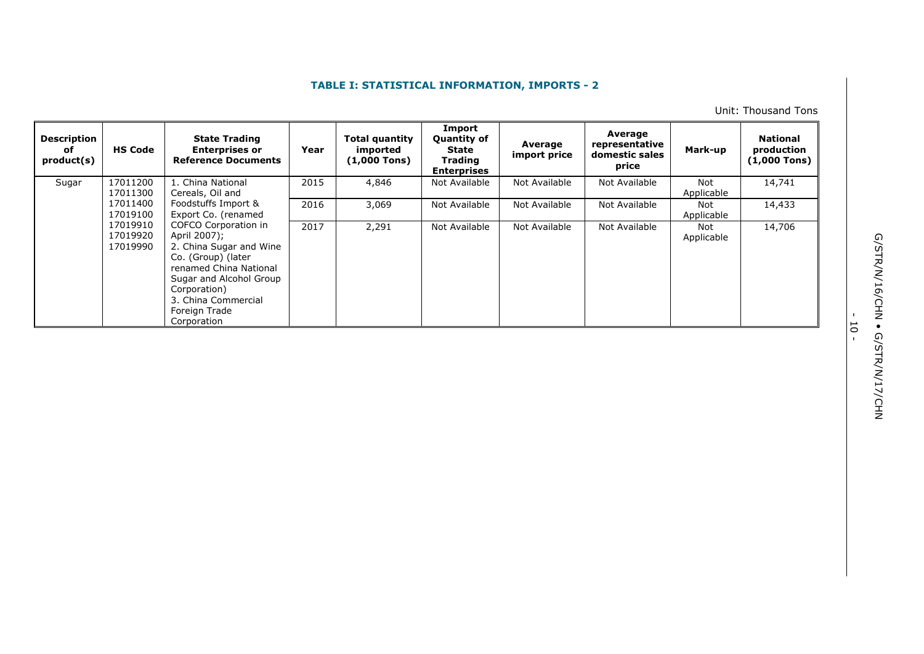Unit: Thousand Tons

| <b>Description</b><br>of<br>product(s) | <b>HS Code</b>                                                     | <b>State Trading</b><br><b>Enterprises or</b><br><b>Reference Documents</b>                                                                                                                                       | Year  | Total quantity<br>imported<br>$(1,000$ Tons) | Import<br>Quantity of<br>State<br><b>Trading</b><br><b>Enterprises</b> | Average<br>import price | Average<br>representative<br>domestic sales<br>price | Mark-up           | <b>National</b><br>production<br>$(1,000$ Tons) |
|----------------------------------------|--------------------------------------------------------------------|-------------------------------------------------------------------------------------------------------------------------------------------------------------------------------------------------------------------|-------|----------------------------------------------|------------------------------------------------------------------------|-------------------------|------------------------------------------------------|-------------------|-------------------------------------------------|
| Sugar                                  | 17011200<br>17011300                                               | 1. China National<br>Cereals, Oil and                                                                                                                                                                             | 2015  | 4,846                                        | Not Available                                                          | Not Available           | Not Available                                        | Not<br>Applicable | 14,741                                          |
|                                        | 17011400<br>Foodstuffs Import &<br>17019100<br>Export Co. (renamed | 2016                                                                                                                                                                                                              | 3,069 | Not Available                                | Not Available                                                          | Not Available           | Not<br>Applicable                                    | 14,433            |                                                 |
|                                        | 17019910<br>17019920<br>17019990                                   | COFCO Corporation in<br>April 2007);<br>2. China Sugar and Wine<br>Co. (Group) (later<br>renamed China National<br>Sugar and Alcohol Group<br>Corporation)<br>3. China Commercial<br>Foreign Trade<br>Corporation | 2017  | 2,291                                        | Not Available                                                          | Not Available           | Not Available                                        | Not<br>Applicable | 14,706                                          |

G/STR/N/16/CHN . G/STR/N/17/CHN G/STR/N/16/CHN • G/STR/N/17/CHN

- 10 -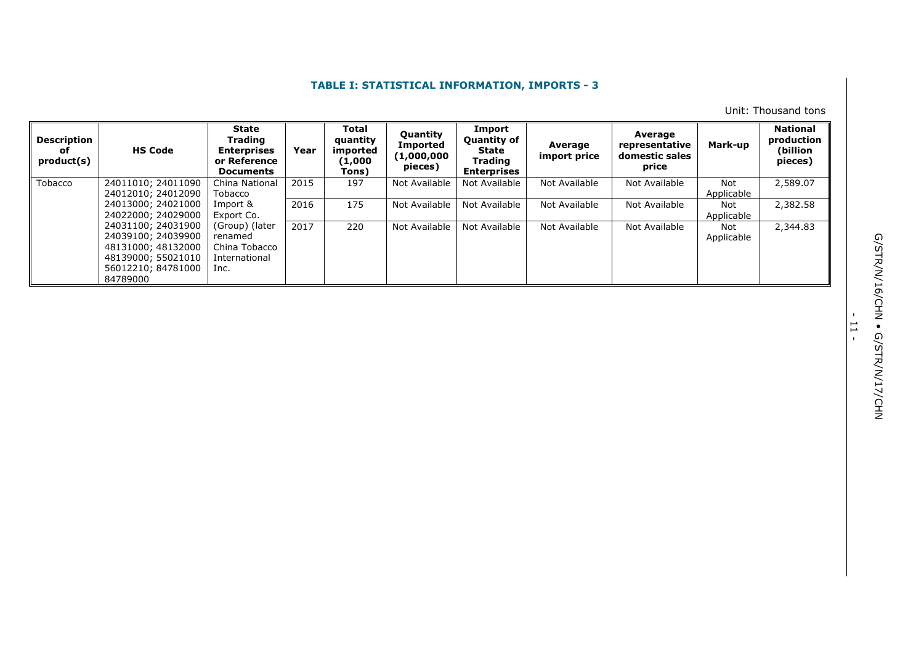Unit: Thousand tons

| <b>Description</b><br>оf<br>product(s) | <b>HS Code</b>     | State<br>Trading<br><b>Enterprises</b><br>or Reference<br><b>Documents</b> | Year | Total<br>quantity<br>imported<br>(1,000)<br>Tons) | Quantity<br><b>Imported</b><br>(1,000,000<br>pieces) | Import<br><b>Quantity of</b><br>State<br>Trading<br><b>Enterprises</b> | Average<br>import price | Average<br>representative<br>domestic sales<br>price | Mark-up    | <b>National</b><br>production<br>(billion<br>pieces) |
|----------------------------------------|--------------------|----------------------------------------------------------------------------|------|---------------------------------------------------|------------------------------------------------------|------------------------------------------------------------------------|-------------------------|------------------------------------------------------|------------|------------------------------------------------------|
| Tobacco                                | 24011010; 24011090 | China National                                                             | 2015 | 197                                               | Not Available                                        | Not Available                                                          | Not Available           | Not Available                                        | Not        | 2,589.07                                             |
|                                        | 24012010; 24012090 | Tobacco                                                                    |      |                                                   |                                                      |                                                                        |                         |                                                      | Applicable |                                                      |
|                                        | 24013000; 24021000 | Import &                                                                   | 2016 | 175                                               | Not Available                                        | Not Available                                                          | Not Available           | Not Available                                        | Not        | 2,382.58                                             |
|                                        | 24022000; 24029000 | Export Co.                                                                 |      |                                                   |                                                      |                                                                        |                         |                                                      | Applicable |                                                      |
|                                        | 24031100; 24031900 | (Group) (later                                                             | 2017 | 220                                               | Not Available                                        | Not Available                                                          | Not Available           | Not Available                                        | Not        | 2,344.83                                             |
|                                        | 24039100; 24039900 | renamed                                                                    |      |                                                   |                                                      |                                                                        |                         |                                                      | Applicable |                                                      |
|                                        | 48131000; 48132000 | China Tobacco                                                              |      |                                                   |                                                      |                                                                        |                         |                                                      |            |                                                      |
|                                        | 48139000; 55021010 | International                                                              |      |                                                   |                                                      |                                                                        |                         |                                                      |            |                                                      |
|                                        | 56012210; 84781000 | Inc.                                                                       |      |                                                   |                                                      |                                                                        |                         |                                                      |            |                                                      |
|                                        | 84789000           |                                                                            |      |                                                   |                                                      |                                                                        |                         |                                                      |            |                                                      |

- ب<br>-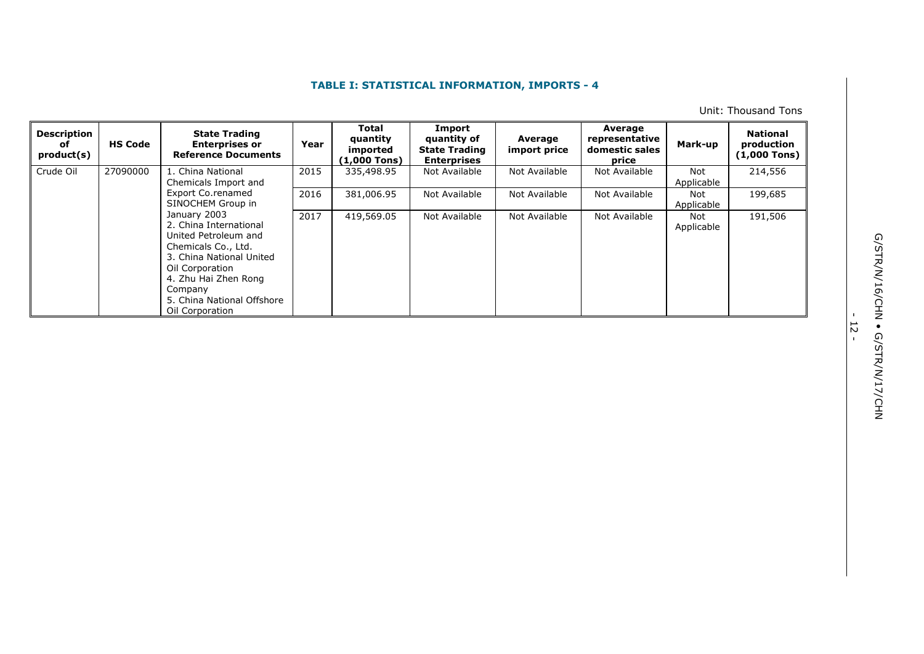Unit: Thousand Tons

| <b>Description</b><br>оf<br>product(s) | <b>HS Code</b> | <b>State Trading</b><br><b>Enterprises or</b><br><b>Reference Documents</b>                                                                                                                                              | Year | <b>Total</b><br>quantity<br>imported<br>(1,000 Tons) | Import<br>quantity of<br><b>State Trading</b><br><b>Enterprises</b> | Average<br>import price | Average<br>representative<br>domestic sales<br>price | Mark-up           | <b>National</b><br>production<br>$(1,000$ Tons) |
|----------------------------------------|----------------|--------------------------------------------------------------------------------------------------------------------------------------------------------------------------------------------------------------------------|------|------------------------------------------------------|---------------------------------------------------------------------|-------------------------|------------------------------------------------------|-------------------|-------------------------------------------------|
| Crude Oil                              | 27090000       | 1. China National<br>Chemicals Import and                                                                                                                                                                                | 2015 | 335,498.95                                           | Not Available                                                       | Not Available           | Not Available                                        | Not<br>Applicable | 214,556                                         |
|                                        |                | Export Co.renamed<br>SINOCHEM Group in                                                                                                                                                                                   | 2016 | 381,006.95                                           | Not Available                                                       | Not Available           | Not Available                                        | Not<br>Applicable | 199,685                                         |
|                                        |                | January 2003<br>2. China International<br>United Petroleum and<br>Chemicals Co., Ltd.<br>3. China National United<br>Oil Corporation<br>4. Zhu Hai Zhen Rong<br>Company<br>5. China National Offshore<br>Oil Corporation | 2017 | 419,569.05                                           | Not Available                                                       | Not Available           | Not Available                                        | Not<br>Applicable | 191,506                                         |

- 12<br>-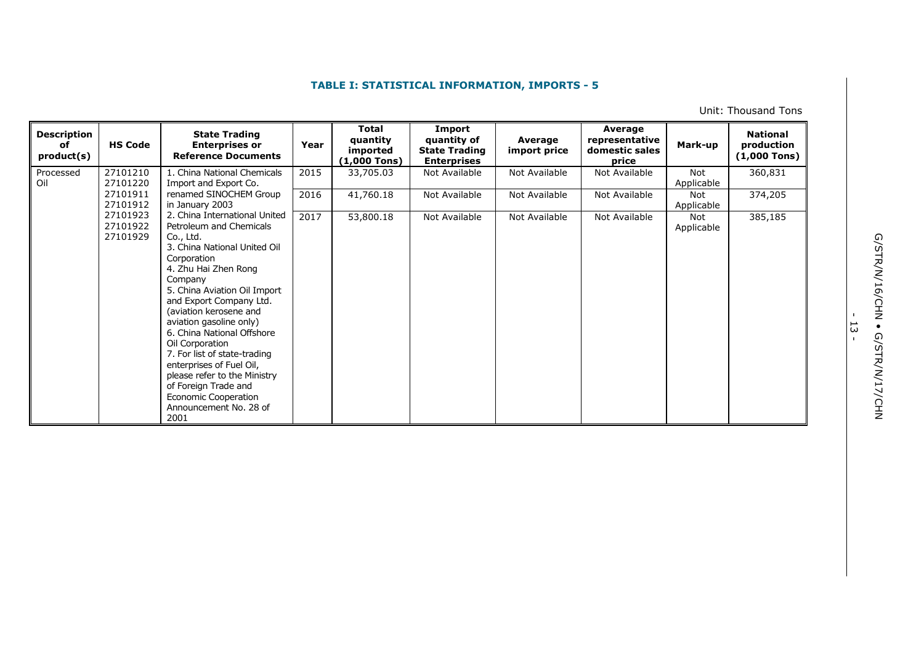Unit: Thousand Tons

| <b>Description</b><br>οf<br>product(s) | <b>HS Code</b>                   | <b>State Trading</b><br><b>Enterprises or</b><br><b>Reference Documents</b>                                                                                                                                                                                                                                                                                                                                                                                                                            | Year | <b>Total</b><br>quantity<br>imported<br>$(1,000$ Tons) | Import<br>quantity of<br><b>State Trading</b><br><b>Enterprises</b> | Average<br>import price | Average<br>representative<br>domestic sales<br>price | Mark-up           | <b>National</b><br>production<br>$(1,000$ Tons) |
|----------------------------------------|----------------------------------|--------------------------------------------------------------------------------------------------------------------------------------------------------------------------------------------------------------------------------------------------------------------------------------------------------------------------------------------------------------------------------------------------------------------------------------------------------------------------------------------------------|------|--------------------------------------------------------|---------------------------------------------------------------------|-------------------------|------------------------------------------------------|-------------------|-------------------------------------------------|
| Processed<br>Oil                       | 27101210<br>27101220             | 1. China National Chemicals<br>Import and Export Co.                                                                                                                                                                                                                                                                                                                                                                                                                                                   | 2015 | 33,705.03                                              | Not Available                                                       | Not Available           | Not Available                                        | Not<br>Applicable | 360,831                                         |
|                                        | 27101911<br>27101912             | renamed SINOCHEM Group<br>in January 2003                                                                                                                                                                                                                                                                                                                                                                                                                                                              | 2016 | 41,760.18                                              | Not Available                                                       | Not Available           | Not Available                                        | Not<br>Applicable | 374,205                                         |
|                                        | 27101923<br>27101922<br>27101929 | 2. China International United<br>Petroleum and Chemicals<br>Co., Ltd.<br>3. China National United Oil<br>Corporation<br>4. Zhu Hai Zhen Rong<br>Company<br>5. China Aviation Oil Import<br>and Export Company Ltd.<br>(aviation kerosene and<br>aviation gasoline only)<br>6. China National Offshore<br>Oil Corporation<br>7. For list of state-trading<br>enterprises of Fuel Oil,<br>please refer to the Ministry<br>of Foreign Trade and<br>Economic Cooperation<br>Announcement No. 28 of<br>2001 | 2017 | 53,800.18                                              | Not Available                                                       | Not Available           | Not Available                                        | Not<br>Applicable | 385,185                                         |

- ب<br>-<br>-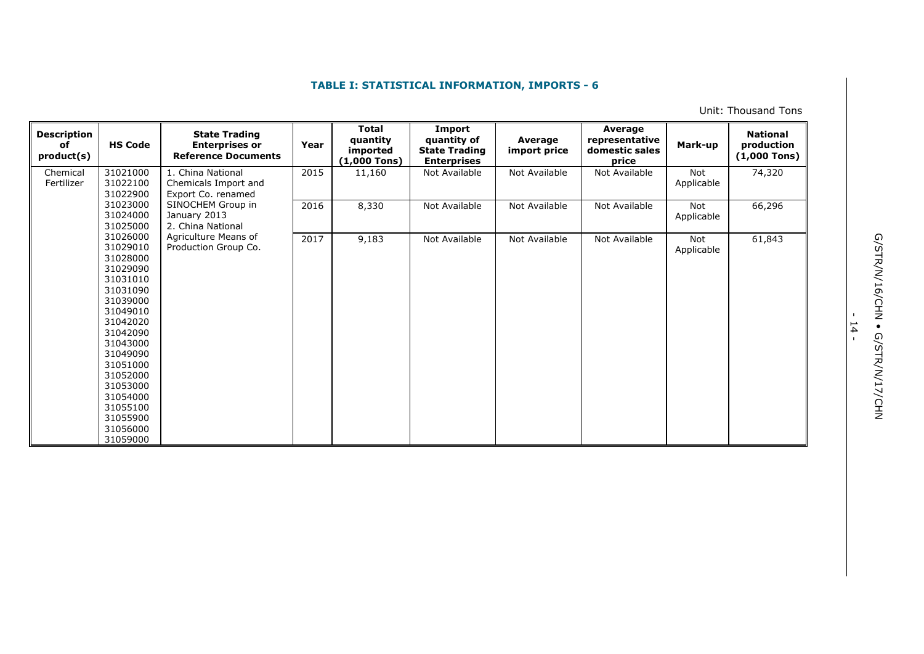Unit: Thousand Tons

| <b>Description</b><br><b>HS Code</b><br>оf<br>product(s)                                                                                                                                                                                     | <b>State Trading</b><br><b>Enterprises or</b><br><b>Reference Documents</b> | Year | <b>Total</b><br>quantity<br>imported<br>$(1,000$ Tons) | Import<br>quantity of<br><b>State Trading</b><br><b>Enterprises</b> | Average<br>import price | Average<br>representative<br>domestic sales<br>price | Mark-up           | <b>National</b><br>production<br>$(1,000$ Tons) |
|----------------------------------------------------------------------------------------------------------------------------------------------------------------------------------------------------------------------------------------------|-----------------------------------------------------------------------------|------|--------------------------------------------------------|---------------------------------------------------------------------|-------------------------|------------------------------------------------------|-------------------|-------------------------------------------------|
| 31021000<br>Chemical<br>31022100<br>Fertilizer<br>31022900                                                                                                                                                                                   | 1. China National<br>Chemicals Import and<br>Export Co. renamed             | 2015 | 11,160                                                 | Not Available                                                       | Not Available           | Not Available                                        | Not<br>Applicable | 74,320                                          |
| 31023000<br>31024000<br>31025000                                                                                                                                                                                                             | SINOCHEM Group in<br>January 2013<br>2. China National                      | 2016 | 8,330                                                  | Not Available                                                       | Not Available           | Not Available                                        | Not<br>Applicable | 66,296                                          |
| 31026000<br>31029010<br>31028000<br>31029090<br>31031010<br>31031090<br>31039000<br>31049010<br>31042020<br>31042090<br>31043000<br>31049090<br>31051000<br>31052000<br>31053000<br>31054000<br>31055100<br>31055900<br>31056000<br>31059000 | Agriculture Means of<br>Production Group Co.                                | 2017 | 9,183                                                  | Not Available                                                       | Not Available           | Not Available                                        | Not<br>Applicable | 61,843                                          |

- 14<br>-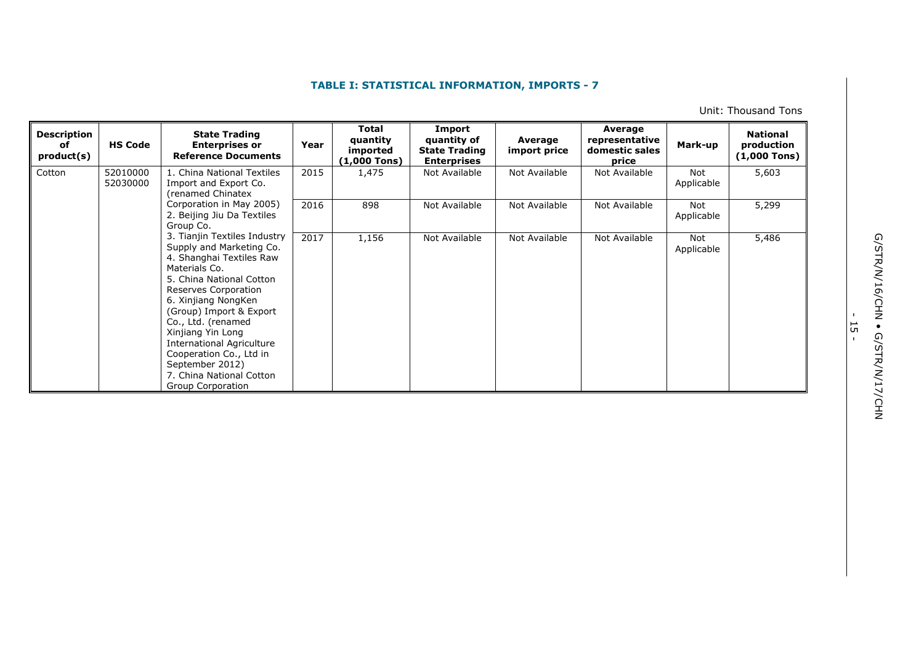Unit: Thousand Tons

| <b>Description</b><br>оf<br>product(s) | <b>HS Code</b>       | <b>State Trading</b><br><b>Enterprises or</b><br><b>Reference Documents</b>                                                                                                                                                                                                                                                                                                               | Year | Total<br>quantity<br>imported<br>$(1,000$ Tons) | Import<br>quantity of<br><b>State Trading</b><br><b>Enterprises</b> | Average<br>import price | Average<br>representative<br>domestic sales<br>price | Mark-up           | <b>National</b><br>production<br>$(1,000$ Tons) |
|----------------------------------------|----------------------|-------------------------------------------------------------------------------------------------------------------------------------------------------------------------------------------------------------------------------------------------------------------------------------------------------------------------------------------------------------------------------------------|------|-------------------------------------------------|---------------------------------------------------------------------|-------------------------|------------------------------------------------------|-------------------|-------------------------------------------------|
| Cotton                                 | 52010000<br>52030000 | 1. China National Textiles<br>Import and Export Co.<br>renamed Chinatex<br>Corporation in May 2005)<br>2. Beijing Jiu Da Textiles<br>Group Co.                                                                                                                                                                                                                                            | 2015 | 1,475                                           | Not Available                                                       | Not Available           | Not Available                                        | Not<br>Applicable | 5,603                                           |
|                                        |                      |                                                                                                                                                                                                                                                                                                                                                                                           | 2016 | 898                                             | Not Available                                                       | Not Available           | Not Available                                        | Not<br>Applicable | 5,299                                           |
|                                        |                      | 3. Tianjin Textiles Industry<br>Supply and Marketing Co.<br>4. Shanghai Textiles Raw<br>Materials Co.<br>5. China National Cotton<br>Reserves Corporation<br>6. Xinjiang NongKen<br>(Group) Import & Export<br>Co., Ltd. (renamed<br>Xinjiang Yin Long<br><b>International Agriculture</b><br>Cooperation Co., Ltd in<br>September 2012)<br>7. China National Cotton<br>Group Corporation | 2017 | 1,156                                           | Not Available                                                       | Not Available           | Not Available                                        | Not<br>Applicable | 5,486                                           |

G/STR/N/16/CHN . G/STR/N/17/CHN G/STR/N/16/CHN • G/STR/N/17/CHN

- ب<br>-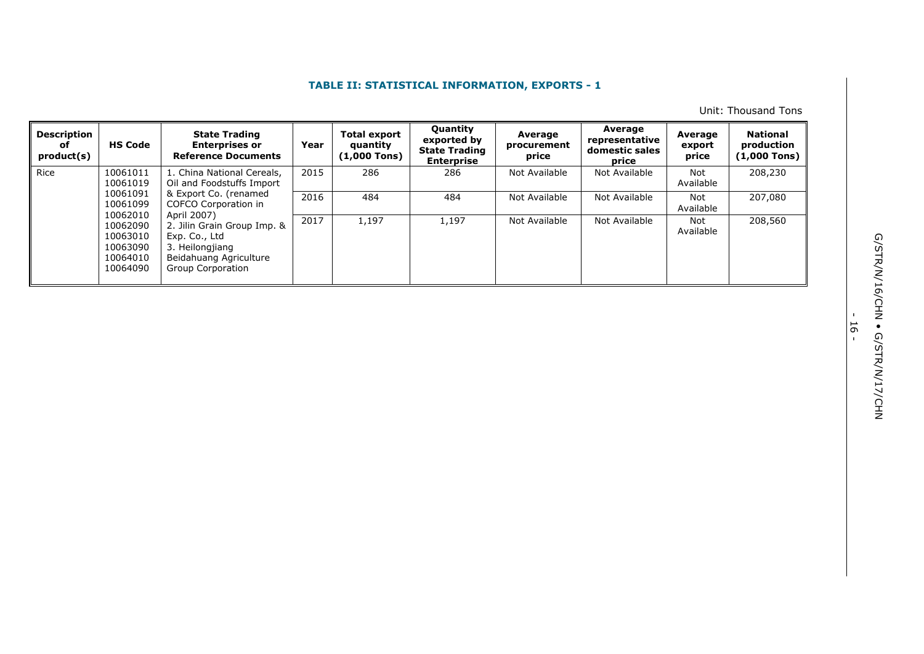Unit: Thousand Tons

| <b>Description</b><br>of<br>product(s) | <b>HS Code</b>                                                       | <b>State Trading</b><br><b>Enterprises or</b><br><b>Reference Documents</b>                                                   | Year | <b>Total export</b><br>quantity<br>$(1,000$ Tons) | <b>Quantity</b><br>exported by<br><b>State Trading</b><br><b>Enterprise</b> | Average<br>procurement<br>price | Average<br>representative<br>domestic sales<br>price | Average<br>export<br>price | <b>National</b><br>production<br>(1,000 Tons) |
|----------------------------------------|----------------------------------------------------------------------|-------------------------------------------------------------------------------------------------------------------------------|------|---------------------------------------------------|-----------------------------------------------------------------------------|---------------------------------|------------------------------------------------------|----------------------------|-----------------------------------------------|
| Rice                                   | 10061011<br>10061019                                                 | 1. China National Cereals,<br>Oil and Foodstuffs Import                                                                       | 2015 | 286                                               | 286                                                                         | Not Available                   | Not Available                                        | Not<br>Available           | 208,230                                       |
|                                        | 10061091<br>10061099                                                 | & Export Co. (renamed<br>COFCO Corporation in                                                                                 | 2016 | 484                                               | 484                                                                         | Not Available                   | Not Available                                        | Not<br>Available           | 207,080                                       |
|                                        | 10062010<br>10062090<br>10063010<br>10063090<br>10064010<br>10064090 | April 2007)<br>2. Jilin Grain Group Imp. &<br>Exp. Co., Ltd<br>3. Heilongjiang<br>Beidahuang Agriculture<br>Group Corporation | 2017 | 1,197                                             | 1,197                                                                       | Not Available                   | Not Available                                        | Not<br>Available           | 208,560                                       |

- ا<br>-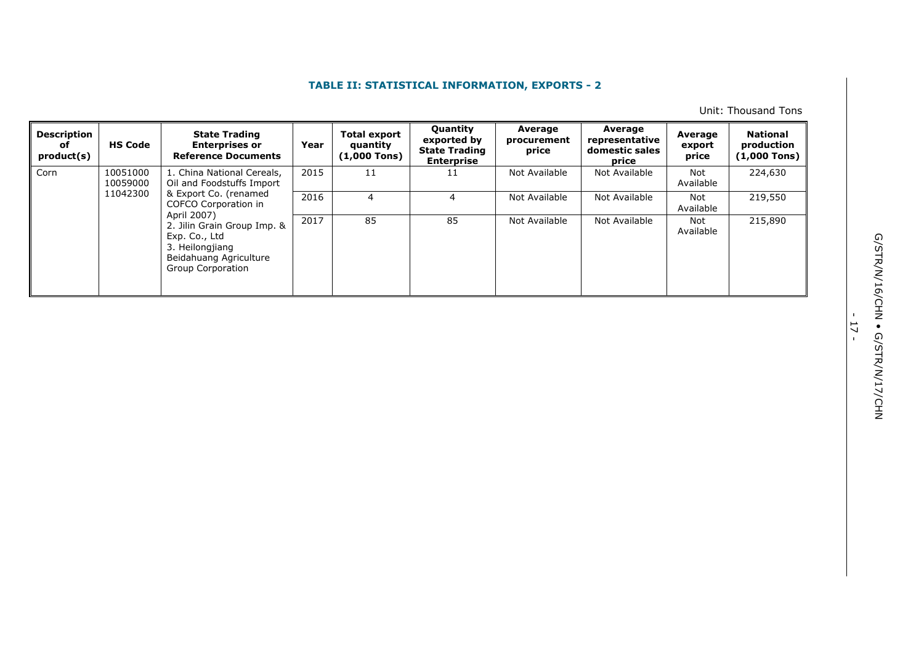Unit: Thousand Tons

| <b>Description</b><br>оf<br>product(s) | <b>HS Code</b>       | <b>State Trading</b><br><b>Enterprises or</b><br><b>Reference Documents</b>                                                   | Year | <b>Total export</b><br>quantity<br>$(1,000$ Tons) | <b>Quantity</b><br>exported by<br><b>State Trading</b><br><b>Enterprise</b> | Average<br>procurement<br>price | Average<br>representative<br>domestic sales<br>price | Average<br>export<br>price | National<br>production<br>(1,000 Tons) |
|----------------------------------------|----------------------|-------------------------------------------------------------------------------------------------------------------------------|------|---------------------------------------------------|-----------------------------------------------------------------------------|---------------------------------|------------------------------------------------------|----------------------------|----------------------------------------|
| Corn                                   | 10051000<br>10059000 | 1. China National Cereals,<br>Oil and Foodstuffs Import                                                                       | 2015 | 11                                                | 11                                                                          | Not Available                   | Not Available                                        | Not<br>Available           | 224,630                                |
|                                        | 11042300             | & Export Co. (renamed<br>COFCO Corporation in                                                                                 | 2016 | 4                                                 | 4                                                                           | Not Available                   | Not Available                                        | Not<br>Available           | 219,550                                |
|                                        |                      | April 2007)<br>2. Jilin Grain Group Imp. &<br>Exp. Co., Ltd<br>3. Heilongjiang<br>Beidahuang Agriculture<br>Group Corporation | 2017 | 85                                                | 85                                                                          | Not Available                   | Not Available                                        | Not<br>Available           | 215,890                                |

- 17 -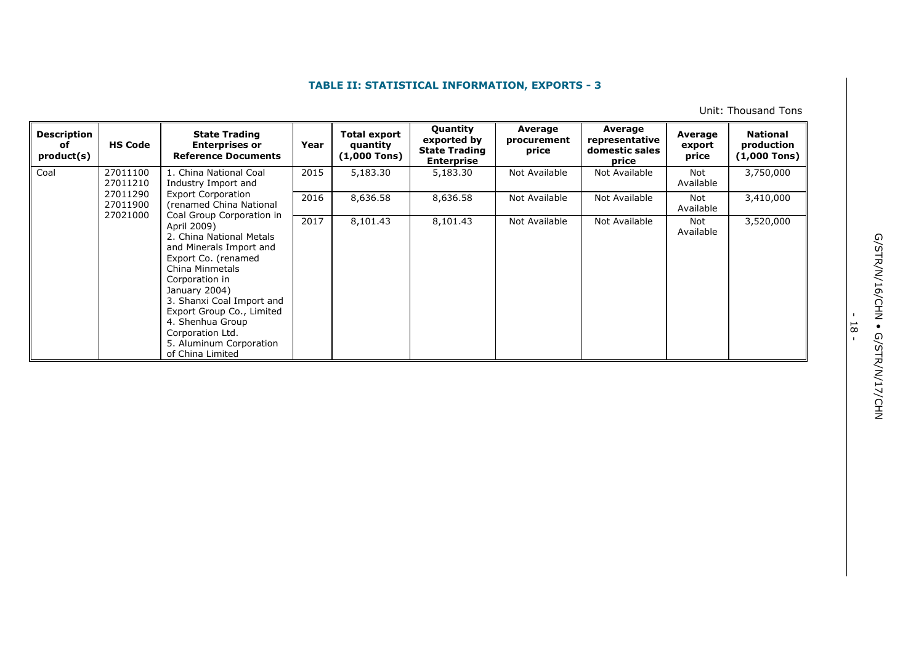Unit: Thousand Tons

| <b>Description</b><br>оf<br>product(s) | <b>HS Code</b>                   | <b>State Trading</b><br><b>Enterprises or</b><br><b>Reference Documents</b>                                                                                                                                                                                                                      | Year | <b>Total export</b><br>quantity<br>$(1,000$ Tons) | <b>Quantity</b><br>exported by<br><b>State Trading</b><br><b>Enterprise</b> | Average<br>procurement<br>price | Average<br>representative<br>domestic sales<br>price | Average<br>export<br>price | <b>National</b><br>production<br>(1,000 Tons) |                  |
|----------------------------------------|----------------------------------|--------------------------------------------------------------------------------------------------------------------------------------------------------------------------------------------------------------------------------------------------------------------------------------------------|------|---------------------------------------------------|-----------------------------------------------------------------------------|---------------------------------|------------------------------------------------------|----------------------------|-----------------------------------------------|------------------|
| Coal                                   | 27011100<br>27011210             | 1. China National Coal<br>Industry Import and<br><b>Export Corporation</b><br>(renamed China National                                                                                                                                                                                            | 2015 | 5,183.30                                          | 5,183.30                                                                    | Not Available                   | Not Available                                        | Not<br>Available           | 3,750,000                                     |                  |
|                                        | 27011290<br>27011900<br>27021000 |                                                                                                                                                                                                                                                                                                  |      | Coal Group Corporation in                         | 2016                                                                        | 8,636.58                        | 8,636.58                                             | Not Available              | Not Available                                 | Not<br>Available |
|                                        |                                  | April 2009)<br>2. China National Metals<br>and Minerals Import and<br>Export Co. (renamed<br>China Minmetals<br>Corporation in<br>January 2004)<br>3. Shanxi Coal Import and<br>Export Group Co., Limited<br>4. Shenhua Group<br>Corporation Ltd.<br>5. Aluminum Corporation<br>of China Limited | 2017 | 8,101.43                                          | 8,101.43                                                                    | Not Available                   | Not Available                                        | Not<br>Available           | 3,520,000                                     |                  |

G/STR/N/16/CHN . G/STR/N/17/CHN G/STR/N/16/CHN • G/STR/N/17/CHN

- 18 -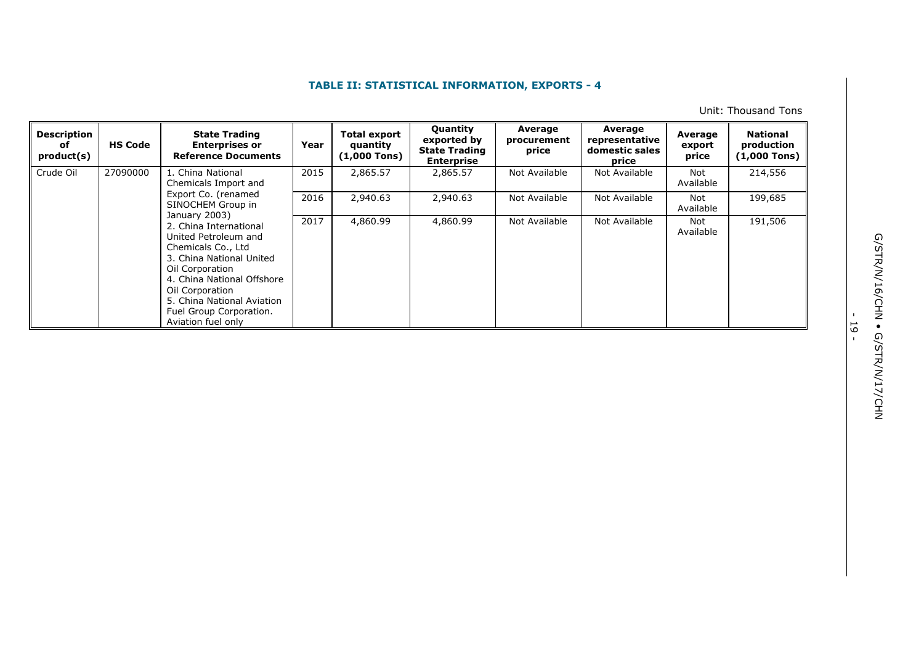Unit: Thousand Tons

| <b>Description</b><br>оf<br>product(s) | <b>HS Code</b> | <b>State Trading</b><br><b>Enterprises or</b><br><b>Reference Documents</b>                                                                                                                                                                         | Year          | <b>Total export</b><br>quantity<br>$(1,000$ Tons) | <b>Quantity</b><br>exported by<br><b>State Trading</b><br><b>Enterprise</b> | Average<br>procurement<br>price | Average<br>representative<br>domestic sales<br>price | Average<br>export<br>price | <b>National</b><br>production<br>(1,000 Tons) |
|----------------------------------------|----------------|-----------------------------------------------------------------------------------------------------------------------------------------------------------------------------------------------------------------------------------------------------|---------------|---------------------------------------------------|-----------------------------------------------------------------------------|---------------------------------|------------------------------------------------------|----------------------------|-----------------------------------------------|
| Crude Oil                              | 27090000       | L. China National<br>Chemicals Import and<br>Export Co. (renamed<br>SINOCHEM Group in                                                                                                                                                               | 2015          | 2,865.57                                          | 2,865.57                                                                    | Not Available                   | Not Available                                        | Not<br>Available           | 214,556                                       |
|                                        |                |                                                                                                                                                                                                                                                     | January 2003) | 2016                                              | 2,940.63                                                                    | 2,940.63                        | Not Available                                        | Not Available              | Not<br>Available                              |
|                                        |                | 2. China International<br>United Petroleum and<br>Chemicals Co., Ltd<br>3. China National United<br>Oil Corporation<br>4. China National Offshore<br>Oil Corporation<br>5. China National Aviation<br>Fuel Group Corporation.<br>Aviation fuel only | 2017          | 4,860.99                                          | 4,860.99                                                                    | Not Available                   | Not Available                                        | Not<br>Available           | 191,506                                       |

- 19 -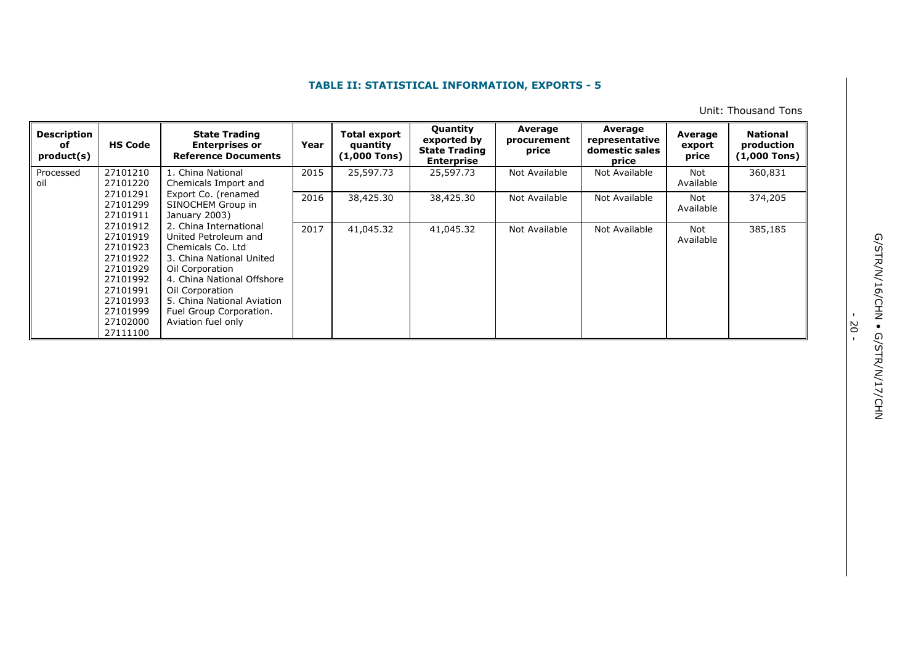Unit: Thousand Tons

| <b>Description</b><br>оf<br>product(s) | <b>HS Code</b>                                                                                                                   | <b>State Trading</b><br><b>Enterprises or</b><br><b>Reference Documents</b>                                                                                                                                                                        | Year | <b>Total export</b><br>quantity<br>$(1,000$ Tons) | <b>Quantity</b><br>exported by<br><b>State Trading</b><br><b>Enterprise</b> | Average<br>procurement<br>price | Average<br>representative<br>domestic sales<br>price | Average<br>export<br>price | <b>National</b><br>production<br>$(1,000$ Tons) |
|----------------------------------------|----------------------------------------------------------------------------------------------------------------------------------|----------------------------------------------------------------------------------------------------------------------------------------------------------------------------------------------------------------------------------------------------|------|---------------------------------------------------|-----------------------------------------------------------------------------|---------------------------------|------------------------------------------------------|----------------------------|-------------------------------------------------|
| Processed<br>oil                       | 27101210<br>27101220                                                                                                             | 1. China National<br>Chemicals Import and                                                                                                                                                                                                          | 2015 | 25,597.73                                         | 25,597.73                                                                   | Not Available                   | Not Available                                        | Not<br>Available           | 360,831                                         |
|                                        | 27101291<br>27101299<br>27101911                                                                                                 | Export Co. (renamed<br>SINOCHEM Group in<br>January 2003)                                                                                                                                                                                          | 2016 | 38,425.30                                         | 38,425.30                                                                   | Not Available                   | Not Available                                        | Not<br>Available           | 374,205                                         |
|                                        | 27101912<br>27101919<br>27101923<br>27101922<br>27101929<br>27101992<br>27101991<br>27101993<br>27101999<br>27102000<br>27111100 | 2. China International<br>United Petroleum and<br>Chemicals Co. Ltd<br>3. China National United<br>Oil Corporation<br>4. China National Offshore<br>Oil Corporation<br>5. China National Aviation<br>Fuel Group Corporation.<br>Aviation fuel only | 2017 | 41,045.32                                         | 41,045.32                                                                   | Not Available                   | Not Available                                        | Not<br>Available           | 385,185                                         |

- 20 -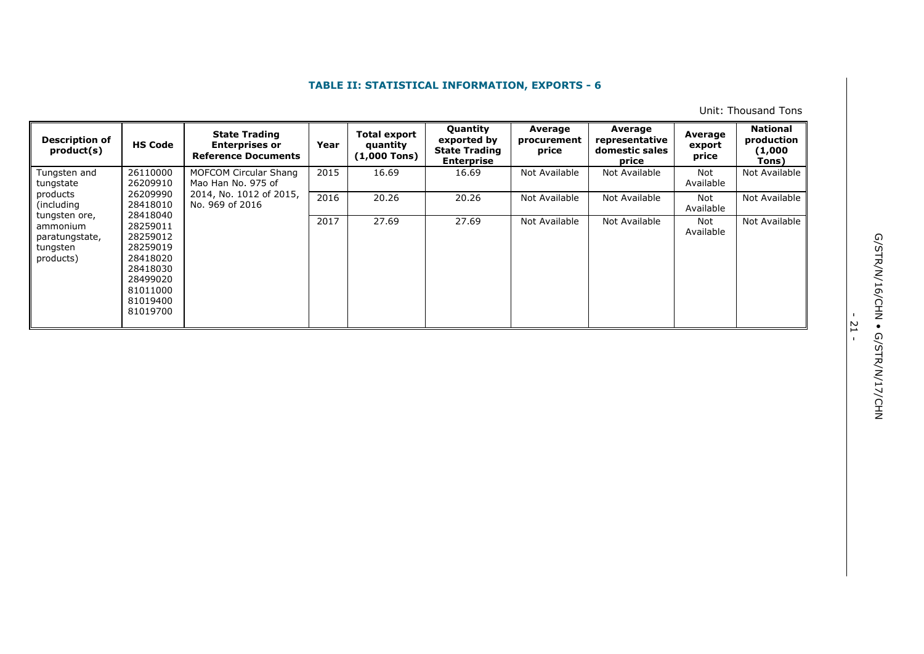Unit: Thousand Tons

| <b>Description of</b><br>product(s)                 | <b>HS Code</b>                                                                                           | <b>State Trading</b><br><b>Enterprises or</b><br><b>Reference Documents</b> | Year | <b>Total export</b><br>quantity<br>$(1,000$ Tons) | <b>Quantity</b><br>exported by<br><b>State Trading</b><br><b>Enterprise</b> | Average<br>procurement<br>price | Average<br>representative<br>domestic sales<br>price | Average<br>export<br>price | <b>National</b><br>production<br>(1,000<br>Tons) |
|-----------------------------------------------------|----------------------------------------------------------------------------------------------------------|-----------------------------------------------------------------------------|------|---------------------------------------------------|-----------------------------------------------------------------------------|---------------------------------|------------------------------------------------------|----------------------------|--------------------------------------------------|
| Tungsten and<br>tungstate                           | 26110000<br>26209910                                                                                     | MOFCOM Circular Shang<br>Mao Han No. 975 of                                 | 2015 | 16.69                                             | 16.69                                                                       | Not Available                   | Not Available                                        | Not<br>Available           | Not Available                                    |
| products<br>(including)<br>tungsten ore,            | 26209990<br>28418010<br>28418040                                                                         | 2014, No. 1012 of 2015,<br>No. 969 of 2016                                  | 2016 | 20.26                                             | 20.26                                                                       | Not Available                   | Not Available                                        | Not<br>Available           | Not Available                                    |
| ammonium<br>paratungstate,<br>tungsten<br>products) | 28259011<br>28259012<br>28259019<br>28418020<br>28418030<br>28499020<br>81011000<br>81019400<br>81019700 |                                                                             | 2017 | 27.69                                             | 27.69                                                                       | Not Available                   | Not Available                                        | Not<br>Available           | Not Available                                    |

- 21 -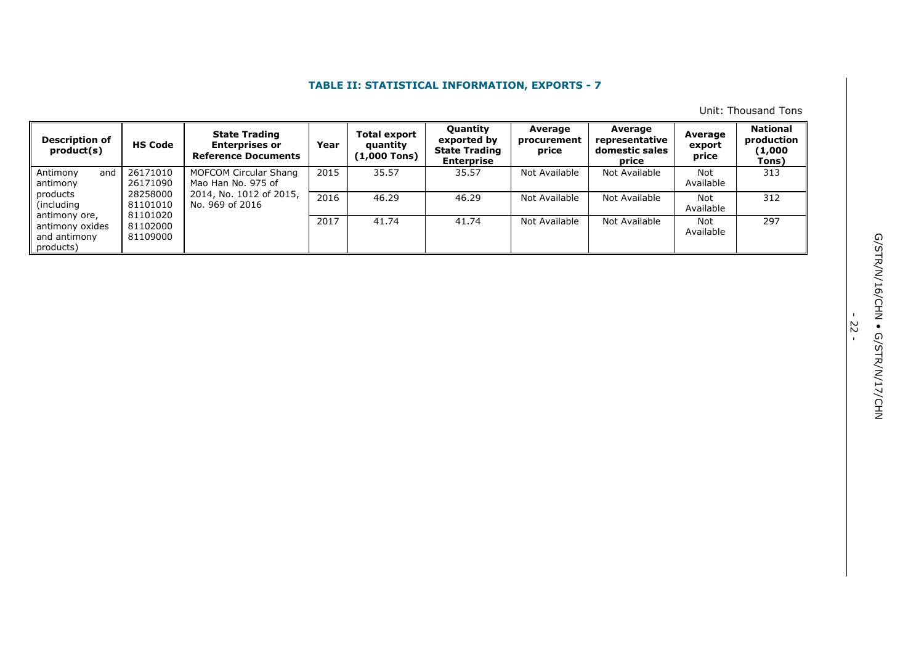Unit: Thousand Tons

| <b>Description of</b><br>product(s)                           | <b>HS Code</b>                   | <b>State Trading</b><br><b>Enterprises or</b><br><b>Reference Documents</b> | Year | <b>Total export</b><br>quantity<br>$(1,000$ Tons) | <b>Quantity</b><br>exported by<br><b>State Trading</b><br><b>Enterprise</b> | Average<br>procurement<br>price | Average<br>representative<br>domestic sales<br>price | Average<br>export<br>price | <b>National</b><br>production<br>(1,000<br>Tons) |
|---------------------------------------------------------------|----------------------------------|-----------------------------------------------------------------------------|------|---------------------------------------------------|-----------------------------------------------------------------------------|---------------------------------|------------------------------------------------------|----------------------------|--------------------------------------------------|
| Antimony<br>and<br>antimony                                   | 26171010<br>26171090             | MOFCOM Circular Shang<br>Mao Han No. 975 of                                 | 2015 | 35.57                                             | 35.57                                                                       | Not Available                   | Not Available                                        | Not<br>Available           | 313                                              |
| products<br>(including)                                       | 28258000<br>81101010             | 2014, No. 1012 of 2015,<br>No. 969 of 2016                                  | 2016 | 46.29                                             | 46.29                                                                       | Not Available                   | Not Available                                        | Not<br>Available           | 312                                              |
| antimony ore,<br>antimony oxides<br>and antimony<br>products) | 81101020<br>81102000<br>81109000 |                                                                             | 2017 | 41.74                                             | 41.74                                                                       | Not Available                   | Not Available                                        | <b>Not</b><br>Available    | 297                                              |

- 22 -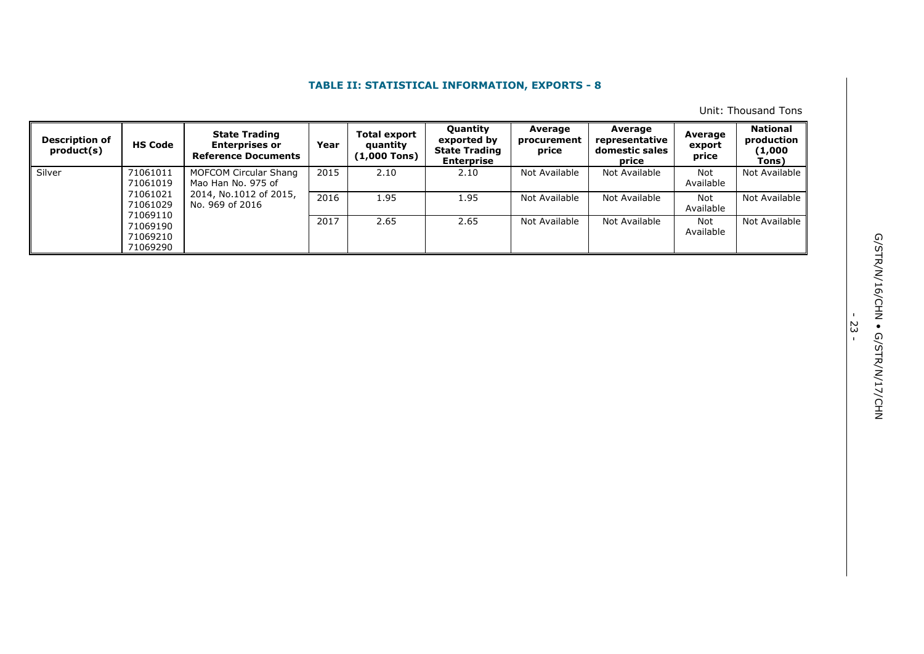Unit: Thousand Tons

| <b>Description of</b><br>product(s) | <b>HS Code</b>                               | <b>State Trading</b><br><b>Enterprises or</b><br><b>Reference Documents</b> | Year | <b>Total export</b><br>quantity<br>1,000 Tons) | <b>Quantity</b><br>exported by<br><b>State Trading</b><br><b>Enterprise</b> | Average<br>procurement<br>price | Average<br>representative<br>domestic sales<br>price | Average<br>export<br>price | <b>National</b><br>production<br>(1,000<br>Tons) |
|-------------------------------------|----------------------------------------------|-----------------------------------------------------------------------------|------|------------------------------------------------|-----------------------------------------------------------------------------|---------------------------------|------------------------------------------------------|----------------------------|--------------------------------------------------|
| Silver                              | 71061011<br>71061019                         | MOFCOM Circular Shang<br>Mao Han No. 975 of                                 | 2015 | 2.10                                           | 2.10                                                                        | Not Available                   | Not Available                                        | Not<br>Available           | Not Available                                    |
|                                     | 71061021<br>71061029                         | 2014, No.1012 of 2015,<br>No. 969 of 2016                                   | 2016 | 1.95                                           | 1.95                                                                        | Not Available                   | Not Available                                        | Not<br>Available           | Not Available                                    |
|                                     | 71069110<br>71069190<br>71069210<br>71069290 |                                                                             | 2017 | 2.65                                           | 2.65                                                                        | Not Available                   | Not Available                                        | Not<br>Available           | Not Available                                    |

-<br>23 -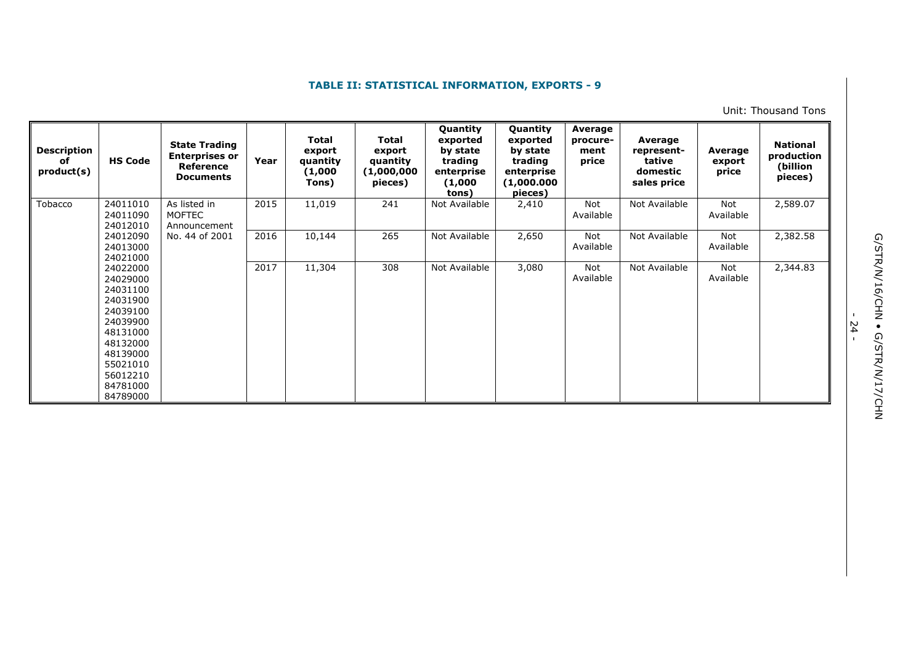Unit: Thousand Tons

| <b>Description</b><br>of<br>product(s) | <b>HS Code</b>                                                                                                                                           | <b>State Trading</b><br><b>Enterprises or</b><br>Reference<br><b>Documents</b> | Year | <b>Total</b><br>export<br>quantity<br>(1,000)<br>Tons) | <b>Total</b><br>export<br>quantity<br>(1,000,000)<br>pieces) | Quantity<br>exported<br>by state<br>trading<br>enterprise<br>(1,000)<br>tons) | Quantity<br>exported<br>by state<br>trading<br>enterprise<br>(1,000.000)<br>pieces) | Average<br>procure-<br>ment<br>price | Average<br>represent-<br>tative<br>domestic<br>sales price | Average<br>export<br>price | <b>National</b><br>production<br>(billion<br>pieces) |
|----------------------------------------|----------------------------------------------------------------------------------------------------------------------------------------------------------|--------------------------------------------------------------------------------|------|--------------------------------------------------------|--------------------------------------------------------------|-------------------------------------------------------------------------------|-------------------------------------------------------------------------------------|--------------------------------------|------------------------------------------------------------|----------------------------|------------------------------------------------------|
| Tobacco                                | 24011010<br>24011090<br>24012010                                                                                                                         | As listed in<br><b>MOFTEC</b><br>Announcement                                  | 2015 | 11,019                                                 | 241                                                          | Not Available                                                                 | 2,410                                                                               | Not<br>Available                     | Not Available                                              | Not<br>Available           | 2,589.07                                             |
|                                        | 24012090<br>24013000<br>24021000                                                                                                                         | No. 44 of 2001                                                                 | 2016 | 10,144                                                 | 265                                                          | Not Available                                                                 | 2,650                                                                               | Not<br>Available                     | Not Available                                              | <b>Not</b><br>Available    | 2,382.58                                             |
|                                        | 24022000<br>24029000<br>24031100<br>24031900<br>24039100<br>24039900<br>48131000<br>48132000<br>48139000<br>55021010<br>56012210<br>84781000<br>84789000 |                                                                                | 2017 | 11,304                                                 | 308                                                          | Not Available                                                                 | 3,080                                                                               | Not<br>Available                     | Not Available                                              | Not<br>Available           | 2,344.83                                             |

- 24 -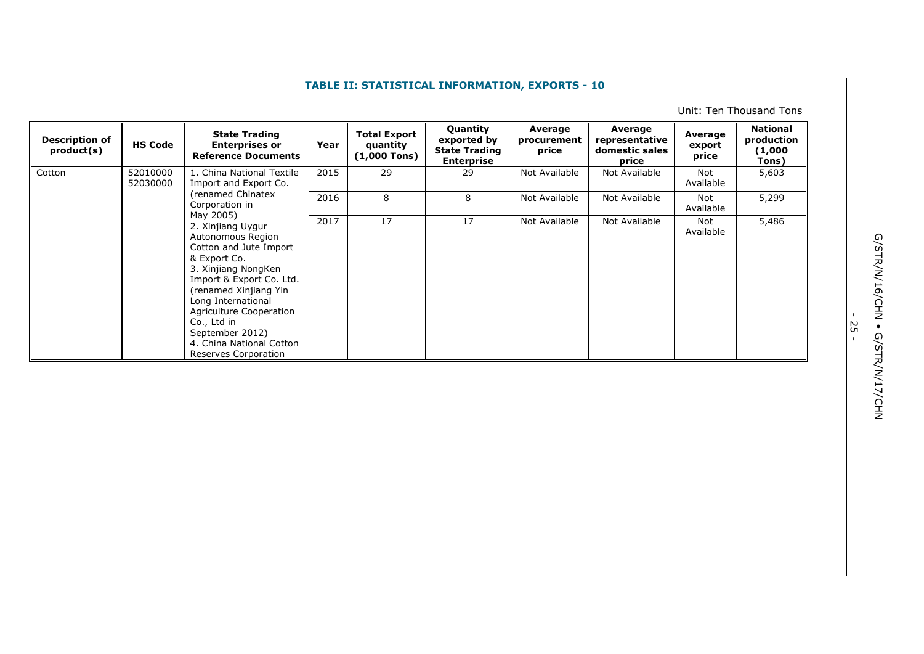Unit: Ten Thousand Tons

| <b>Description of</b><br>product(s) | <b>HS Code</b>       | <b>State Trading</b><br><b>Enterprises or</b><br><b>Reference Documents</b>                                                                                                                                                                                                                                      | Year | <b>Total Export</b><br>quantity<br>$(1,000$ Tons) | Quantity<br>exported by<br><b>State Trading</b><br><b>Enterprise</b> | Average<br>procurement<br>price | Average<br>representative<br>domestic sales<br>price | Average<br>export<br>price | <b>National</b><br>production<br>(1,000<br>Tons) |
|-------------------------------------|----------------------|------------------------------------------------------------------------------------------------------------------------------------------------------------------------------------------------------------------------------------------------------------------------------------------------------------------|------|---------------------------------------------------|----------------------------------------------------------------------|---------------------------------|------------------------------------------------------|----------------------------|--------------------------------------------------|
| Cotton                              | 52010000<br>52030000 | 1. China National Textile<br>Import and Export Co.                                                                                                                                                                                                                                                               | 2015 | 29                                                | 29                                                                   | Not Available                   | Not Available                                        | Not<br>Available           | 5,603                                            |
|                                     |                      | (renamed Chinatex<br>Corporation in                                                                                                                                                                                                                                                                              | 2016 | 8                                                 | 8                                                                    | Not Available                   | Not Available                                        | Not<br>Available           | 5,299                                            |
|                                     |                      | May 2005)<br>2. Xinjiang Uygur<br>Autonomous Region<br>Cotton and Jute Import<br>& Export Co.<br>3. Xinjiang NongKen<br>Import & Export Co. Ltd.<br>(renamed Xinjiang Yin<br>Long International<br>Agriculture Cooperation<br>Co., Ltd in<br>September 2012)<br>4. China National Cotton<br>Reserves Corporation | 2017 | 17                                                | 17                                                                   | Not Available                   | Not Available                                        | Not<br>Available           | 5,486                                            |

G/STR/N/16/CHN . G/STR/N/17/CHN G/STR/N/16/CHN • G/STR/N/17/CHN

י<br>ר<br>י